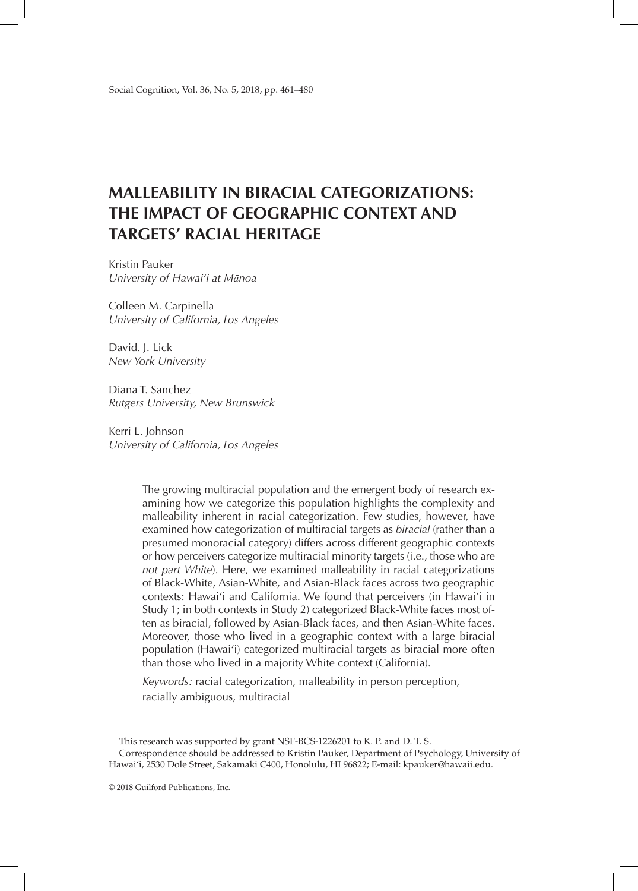# **MALLEABILITY IN BIRACIAL CATEGORIZATIONS: THE IMPACT OF GEOGRAPHIC CONTEXT AND TARGETS' RACIAL HERITAGE**

Kristin Pauker *University of Hawai'i at Mānoa*

Colleen M. Carpinella *University of California, Los Angeles*

David. J. Lick *New York University*

Diana T. Sanchez *Rutgers University, New Brunswick*

Kerri L. Johnson *University of California, Los Angeles*

> The growing multiracial population and the emergent body of research examining how we categorize this population highlights the complexity and malleability inherent in racial categorization. Few studies, however, have examined how categorization of multiracial targets as *biracial* (rather than a presumed monoracial category) differs across different geographic contexts or how perceivers categorize multiracial minority targets (i.e., those who are *not part White*). Here, we examined malleability in racial categorizations of Black-White, Asian-White, and Asian-Black faces across two geographic contexts: Hawai'i and California. We found that perceivers (in Hawai'i in Study 1; in both contexts in Study 2) categorized Black-White faces most often as biracial, followed by Asian-Black faces, and then Asian-White faces. Moreover, those who lived in a geographic context with a large biracial population (Hawai'i) categorized multiracial targets as biracial more often than those who lived in a majority White context (California).

*Keywords:* racial categorization, malleability in person perception, racially ambiguous, multiracial

This research was supported by grant NSF-BCS-1226201 to K. P. and D. T. S. Correspondence should be addressed to Kristin Pauker, Department of Psychology, University of Hawai'i, 2530 Dole Street, Sakamaki C400, Honolulu, HI 96822; E-mail: kpauker@hawaii.edu.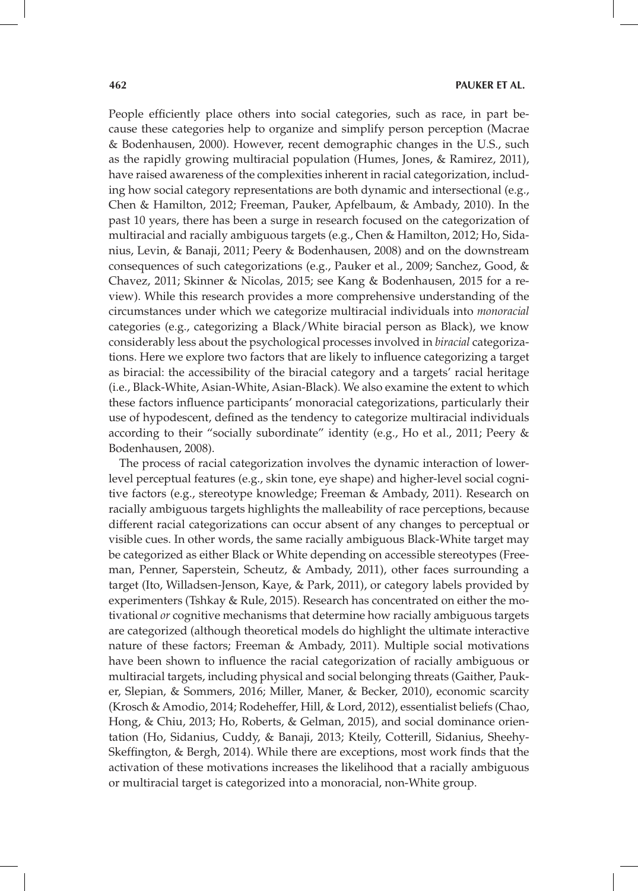People efficiently place others into social categories, such as race, in part because these categories help to organize and simplify person perception (Macrae & Bodenhausen, 2000). However, recent demographic changes in the U.S., such as the rapidly growing multiracial population (Humes, Jones, & Ramirez, 2011), have raised awareness of the complexities inherent in racial categorization, including how social category representations are both dynamic and intersectional (e.g., Chen & Hamilton, 2012; Freeman, Pauker, Apfelbaum, & Ambady, 2010). In the past 10 years, there has been a surge in research focused on the categorization of multiracial and racially ambiguous targets (e.g., Chen & Hamilton, 2012; Ho, Sidanius, Levin, & Banaji, 2011; Peery & Bodenhausen, 2008) and on the downstream consequences of such categorizations (e.g., Pauker et al., 2009; Sanchez, Good, & Chavez, 2011; Skinner & Nicolas, 2015; see Kang & Bodenhausen, 2015 for a review). While this research provides a more comprehensive understanding of the circumstances under which we categorize multiracial individuals into *monoracial*  categories (e.g., categorizing a Black/White biracial person as Black), we know considerably less about the psychological processes involved in *biracial* categorizations. Here we explore two factors that are likely to influence categorizing a target as biracial: the accessibility of the biracial category and a targets' racial heritage (i.e., Black-White, Asian-White, Asian-Black). We also examine the extent to which these factors influence participants' monoracial categorizations, particularly their use of hypodescent, defined as the tendency to categorize multiracial individuals according to their "socially subordinate" identity (e.g., Ho et al., 2011; Peery & Bodenhausen, 2008).

The process of racial categorization involves the dynamic interaction of lowerlevel perceptual features (e.g., skin tone, eye shape) and higher-level social cognitive factors (e.g., stereotype knowledge; Freeman & Ambady, 2011). Research on racially ambiguous targets highlights the malleability of race perceptions, because different racial categorizations can occur absent of any changes to perceptual or visible cues. In other words, the same racially ambiguous Black-White target may be categorized as either Black or White depending on accessible stereotypes (Freeman, Penner, Saperstein, Scheutz, & Ambady, 2011), other faces surrounding a target (Ito, Willadsen-Jenson, Kaye, & Park, 2011), or category labels provided by experimenters (Tshkay & Rule, 2015). Research has concentrated on either the motivational *or* cognitive mechanisms that determine how racially ambiguous targets are categorized (although theoretical models do highlight the ultimate interactive nature of these factors; Freeman & Ambady, 2011). Multiple social motivations have been shown to influence the racial categorization of racially ambiguous or multiracial targets, including physical and social belonging threats (Gaither, Pauker, Slepian, & Sommers, 2016; Miller, Maner, & Becker, 2010), economic scarcity (Krosch & Amodio, 2014; Rodeheffer, Hill, & Lord, 2012), essentialist beliefs (Chao, Hong, & Chiu, 2013; Ho, Roberts, & Gelman, 2015), and social dominance orientation (Ho, Sidanius, Cuddy, & Banaji, 2013; Kteily, Cotterill, Sidanius, Sheehy-Skeffington, & Bergh, 2014). While there are exceptions, most work finds that the activation of these motivations increases the likelihood that a racially ambiguous or multiracial target is categorized into a monoracial, non-White group.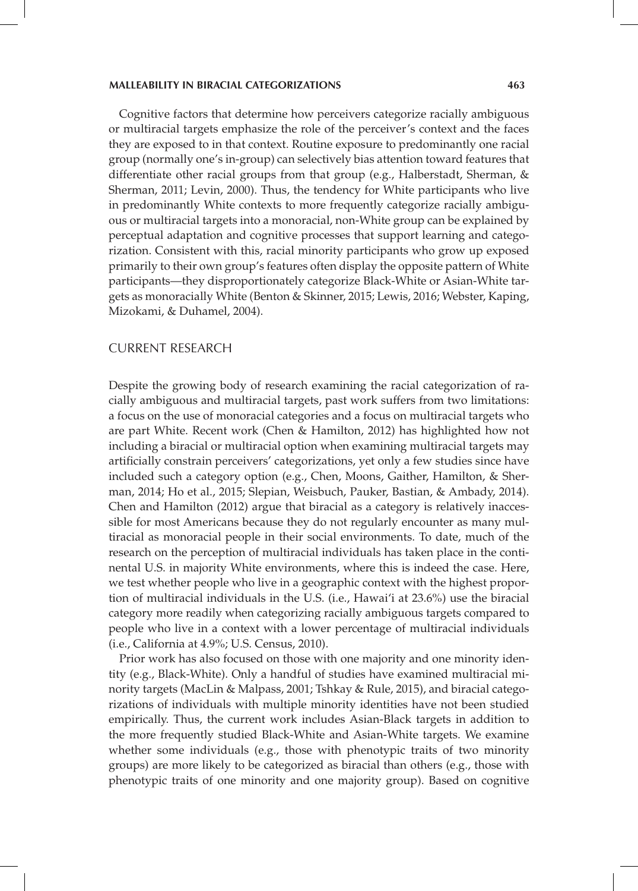Cognitive factors that determine how perceivers categorize racially ambiguous or multiracial targets emphasize the role of the perceiver's context and the faces they are exposed to in that context. Routine exposure to predominantly one racial group (normally one's in-group) can selectively bias attention toward features that differentiate other racial groups from that group (e.g., Halberstadt, Sherman, & Sherman, 2011; Levin, 2000). Thus, the tendency for White participants who live in predominantly White contexts to more frequently categorize racially ambiguous or multiracial targets into a monoracial, non-White group can be explained by perceptual adaptation and cognitive processes that support learning and categorization. Consistent with this, racial minority participants who grow up exposed primarily to their own group's features often display the opposite pattern of White participants—they disproportionately categorize Black-White or Asian-White targets as monoracially White (Benton & Skinner, 2015; Lewis, 2016; Webster, Kaping, Mizokami, & Duhamel, 2004).

#### CURRENT RESEARCH

Despite the growing body of research examining the racial categorization of racially ambiguous and multiracial targets, past work suffers from two limitations: a focus on the use of monoracial categories and a focus on multiracial targets who are part White. Recent work (Chen & Hamilton, 2012) has highlighted how not including a biracial or multiracial option when examining multiracial targets may artificially constrain perceivers' categorizations, yet only a few studies since have included such a category option (e.g., Chen, Moons, Gaither, Hamilton, & Sherman, 2014; Ho et al., 2015; Slepian, Weisbuch, Pauker, Bastian, & Ambady, 2014). Chen and Hamilton (2012) argue that biracial as a category is relatively inaccessible for most Americans because they do not regularly encounter as many multiracial as monoracial people in their social environments. To date, much of the research on the perception of multiracial individuals has taken place in the continental U.S. in majority White environments, where this is indeed the case. Here, we test whether people who live in a geographic context with the highest proportion of multiracial individuals in the U.S. (i.e., Hawai'i at 23.6%) use the biracial category more readily when categorizing racially ambiguous targets compared to people who live in a context with a lower percentage of multiracial individuals (i.e., California at 4.9%; U.S. Census, 2010).

Prior work has also focused on those with one majority and one minority identity (e.g., Black-White). Only a handful of studies have examined multiracial minority targets (MacLin & Malpass, 2001; Tshkay & Rule, 2015), and biracial categorizations of individuals with multiple minority identities have not been studied empirically. Thus, the current work includes Asian-Black targets in addition to the more frequently studied Black-White and Asian-White targets. We examine whether some individuals (e.g., those with phenotypic traits of two minority groups) are more likely to be categorized as biracial than others (e.g., those with phenotypic traits of one minority and one majority group). Based on cognitive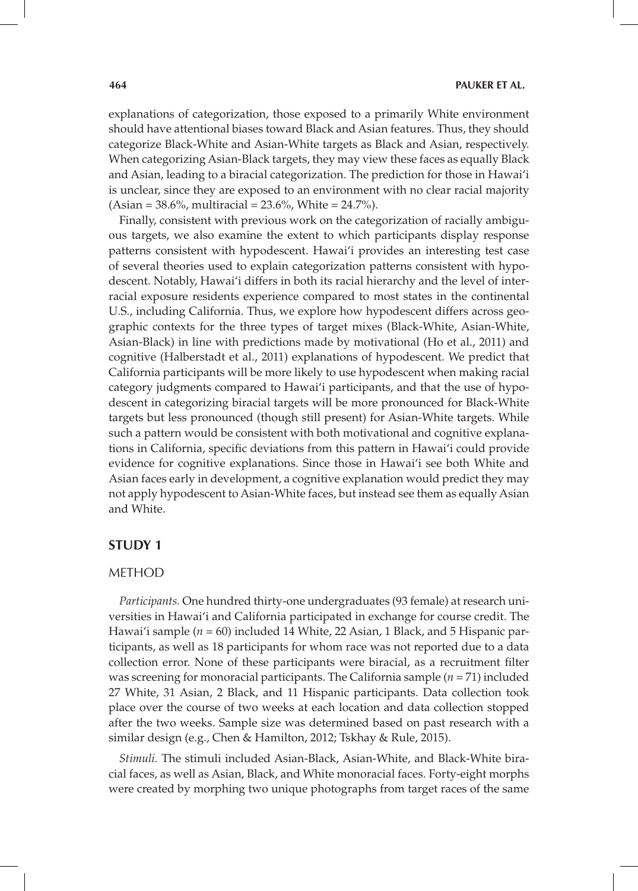explanations of categorization, those exposed to a primarily White environment should have attentional biases toward Black and Asian features. Thus, they should categorize Black-White and Asian-White targets as Black and Asian, respectively. When categorizing Asian-Black targets, they may view these faces as equally Black and Asian, leading to a biracial categorization. The prediction for those in Hawai'i is unclear, since they are exposed to an environment with no clear racial majority  $(Asian = 38.6\%, multiracial = 23.6\%, White = 24.7\%).$ 

Finally, consistent with previous work on the categorization of racially ambiguous targets, we also examine the extent to which participants display response patterns consistent with hypodescent. Hawai'i provides an interesting test case of several theories used to explain categorization patterns consistent with hypodescent. Notably, Hawai'i differs in both its racial hierarchy and the level of interracial exposure residents experience compared to most states in the continental U.S., including California. Thus, we explore how hypodescent differs across geographic contexts for the three types of target mixes (Black-White, Asian-White, Asian-Black) in line with predictions made by motivational (Ho et al., 2011) and cognitive (Halberstadt et al., 2011) explanations of hypodescent. We predict that California participants will be more likely to use hypodescent when making racial category judgments compared to Hawai'i participants, and that the use of hypodescent in categorizing biracial targets will be more pronounced for Black-White targets but less pronounced (though still present) for Asian-White targets. While such a pattern would be consistent with both motivational and cognitive explanations in California, specific deviations from this pattern in Hawai'i could provide evidence for cognitive explanations. Since those in Hawai'i see both White and Asian faces early in development, a cognitive explanation would predict they may not apply hypodescent to Asian-White faces, but instead see them as equally Asian and White.

## **STUDY 1**

## METHOD

*Participants.* One hundred thirty-one undergraduates (93 female) at research universities in Hawai'i and California participated in exchange for course credit. The Hawai'i sample (*n* = 60) included 14 White, 22 Asian, 1 Black, and 5 Hispanic participants, as well as 18 participants for whom race was not reported due to a data collection error. None of these participants were biracial, as a recruitment filter was screening for monoracial participants. The California sample (*n* = 71) included 27 White, 31 Asian, 2 Black, and 11 Hispanic participants. Data collection took place over the course of two weeks at each location and data collection stopped after the two weeks. Sample size was determined based on past research with a similar design (e.g., Chen & Hamilton, 2012; Tskhay & Rule, 2015).

*Stimuli.* The stimuli included Asian-Black, Asian-White, and Black-White biracial faces, as well as Asian, Black, and White monoracial faces. Forty-eight morphs were created by morphing two unique photographs from target races of the same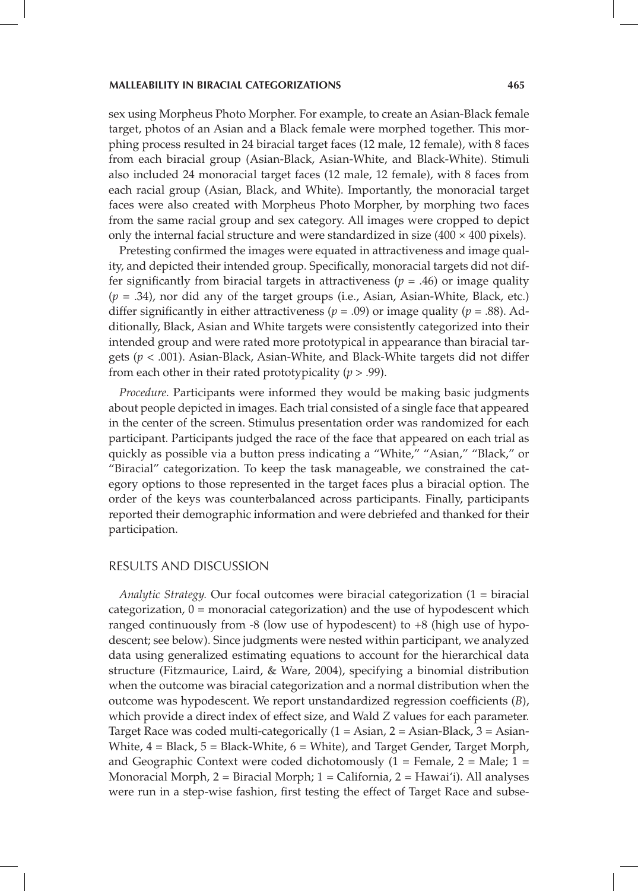sex using Morpheus Photo Morpher. For example, to create an Asian-Black female target, photos of an Asian and a Black female were morphed together. This morphing process resulted in 24 biracial target faces (12 male, 12 female), with 8 faces from each biracial group (Asian-Black, Asian-White, and Black-White). Stimuli also included 24 monoracial target faces (12 male, 12 female), with 8 faces from each racial group (Asian, Black, and White). Importantly, the monoracial target faces were also created with Morpheus Photo Morpher, by morphing two faces from the same racial group and sex category. All images were cropped to depict only the internal facial structure and were standardized in size  $(400 \times 400)$  pixels).

Pretesting confirmed the images were equated in attractiveness and image quality, and depicted their intended group. Specifically, monoracial targets did not differ significantly from biracial targets in attractiveness ( $p = .46$ ) or image quality (*p* = .34), nor did any of the target groups (i.e., Asian, Asian-White, Black, etc.) differ significantly in either attractiveness ( $p = .09$ ) or image quality ( $p = .88$ ). Additionally, Black, Asian and White targets were consistently categorized into their intended group and were rated more prototypical in appearance than biracial targets (*p* < .001). Asian-Black, Asian-White, and Black-White targets did not differ from each other in their rated prototypicality (*p* > .99).

*Procedure.* Participants were informed they would be making basic judgments about people depicted in images. Each trial consisted of a single face that appeared in the center of the screen. Stimulus presentation order was randomized for each participant. Participants judged the race of the face that appeared on each trial as quickly as possible via a button press indicating a "White," "Asian," "Black," or "Biracial" categorization. To keep the task manageable, we constrained the category options to those represented in the target faces plus a biracial option. The order of the keys was counterbalanced across participants. Finally, participants reported their demographic information and were debriefed and thanked for their participation.

### RESULTS AND DISCUSSION

*Analytic Strategy.* Our focal outcomes were biracial categorization (1 = biracial categorization, 0 = monoracial categorization) and the use of hypodescent which ranged continuously from -8 (low use of hypodescent) to +8 (high use of hypodescent; see below). Since judgments were nested within participant, we analyzed data using generalized estimating equations to account for the hierarchical data structure (Fitzmaurice, Laird, & Ware, 2004), specifying a binomial distribution when the outcome was biracial categorization and a normal distribution when the outcome was hypodescent. We report unstandardized regression coefficients (*B*), which provide a direct index of effect size, and Wald *Z* values for each parameter. Target Race was coded multi-categorically  $(1 = Asian, 2 = Asian-Black, 3 = Asian-$ White,  $4 = Black, 5 = Black-White, 6 = White)$ , and Target Gender, Target Morph, and Geographic Context were coded dichotomously  $(1 =$  Female,  $2 =$  Male;  $1 =$ Monoracial Morph, 2 = Biracial Morph; 1 = California, 2 = Hawai'i). All analyses were run in a step-wise fashion, first testing the effect of Target Race and subse-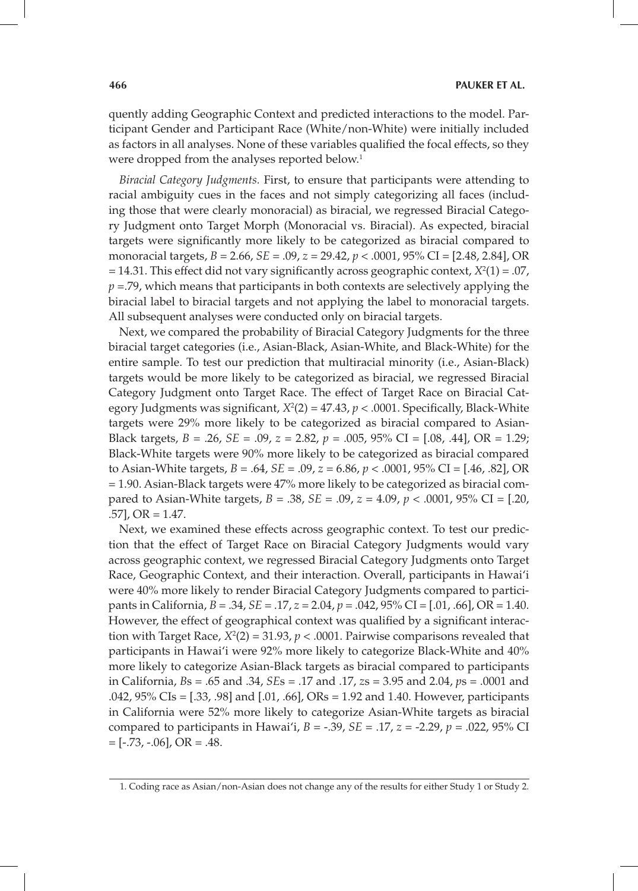quently adding Geographic Context and predicted interactions to the model. Participant Gender and Participant Race (White/non-White) were initially included as factors in all analyses. None of these variables qualified the focal effects, so they were dropped from the analyses reported below.<sup>1</sup>

*Biracial Category Judgments.* First, to ensure that participants were attending to racial ambiguity cues in the faces and not simply categorizing all faces (including those that were clearly monoracial) as biracial, we regressed Biracial Category Judgment onto Target Morph (Monoracial vs. Biracial). As expected, biracial targets were significantly more likely to be categorized as biracial compared to monoracial targets, *B* = 2.66, *SE* = .09, *z* = 29.42, *p* < .0001, 95% CI = [2.48, 2.84], OR  $= 14.31$ . This effect did not vary significantly across geographic context,  $X^2(1) = .07$ , *p* =.79, which means that participants in both contexts are selectively applying the biracial label to biracial targets and not applying the label to monoracial targets. All subsequent analyses were conducted only on biracial targets.

Next, we compared the probability of Biracial Category Judgments for the three biracial target categories (i.e., Asian-Black, Asian-White, and Black-White) for the entire sample. To test our prediction that multiracial minority (i.e., Asian-Black) targets would be more likely to be categorized as biracial, we regressed Biracial Category Judgment onto Target Race. The effect of Target Race on Biracial Category Judgments was significant,  $X^2(2) = 47.43$ ,  $p < .0001$ . Specifically, Black-White targets were 29% more likely to be categorized as biracial compared to Asian-Black targets, *B* = .26, *SE* = .09, *z* = 2.82, *p* = .005, 95% CI = [.08, .44], OR = 1.29; Black-White targets were 90% more likely to be categorized as biracial compared to Asian-White targets, *B* = .64, *SE* = .09, *z* = 6.86, *p* < .0001, 95% CI = [.46, .82], OR = 1.90. Asian-Black targets were 47% more likely to be categorized as biracial compared to Asian-White targets, *B* = .38, *SE* = .09, *z* = 4.09, *p* < .0001, 95% CI = [.20,  $.57$ ], OR = 1.47.

Next, we examined these effects across geographic context. To test our prediction that the effect of Target Race on Biracial Category Judgments would vary across geographic context, we regressed Biracial Category Judgments onto Target Race, Geographic Context, and their interaction. Overall, participants in Hawai'i were 40% more likely to render Biracial Category Judgments compared to participants in California, *B* = .34, *SE* = .17, *z* = 2.04, *p* = .042, 95% CI = [.01, .66], OR = 1.40. However, the effect of geographical context was qualified by a significant interaction with Target Race,  $X^2(2) = 31.93$ ,  $p < .0001$ . Pairwise comparisons revealed that participants in Hawai'i were 92% more likely to categorize Black-White and 40% more likely to categorize Asian-Black targets as biracial compared to participants in California, *B*s = .65 and .34, *SE*s = .17 and .17, *z*s = 3.95 and 2.04, *p*s = .0001 and .042, 95% CIs = [.33, .98] and [.01, .66], ORs = 1.92 and 1.40. However, participants in California were 52% more likely to categorize Asian-White targets as biracial compared to participants in Hawai'i, *B* = -.39, *SE* = .17, *z* = -2.29, *p* = .022, 95% CI  $=[-.73, -.06], OR = .48.$ 

<sup>1.</sup> Coding race as Asian/non-Asian does not change any of the results for either Study 1 or Study 2.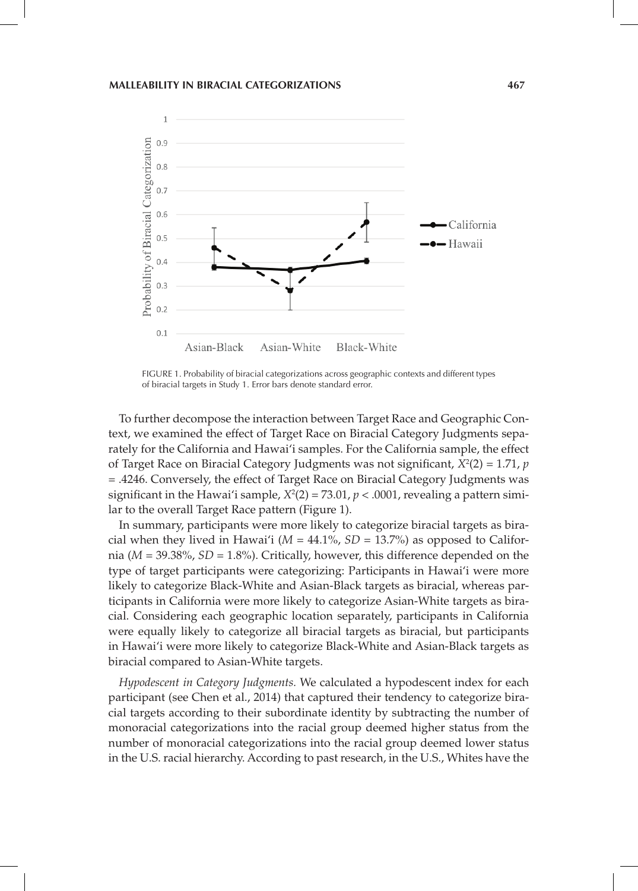

FIGURE 1. Probability of biracial categorizations across geographic contexts and different types of biracial targets in Study 1. Error bars denote standard error.

To further decompose the interaction between Target Race and Geographic Context, we examined the effect of Target Race on Biracial Category Judgments separately for the California and Hawai'i samples. For the California sample, the effect of Target Race on Biracial Category Judgments was not significant,  $X^2(2) = 1.71$ ,  $p$ = .4246. Conversely, the effect of Target Race on Biracial Category Judgments was significant in the Hawai'i sample,  $X^2(2) = 73.01$ ,  $p < .0001$ , revealing a pattern similar to the overall Target Race pattern (Figure 1).

In summary, participants were more likely to categorize biracial targets as biracial when they lived in Hawai'i ( $M = 44.1\%$ ,  $SD = 13.7\%$ ) as opposed to California (*M* = 39.38%, *SD* = 1.8%). Critically, however, this difference depended on the type of target participants were categorizing: Participants in Hawai'i were more likely to categorize Black-White and Asian-Black targets as biracial, whereas participants in California were more likely to categorize Asian-White targets as biracial. Considering each geographic location separately, participants in California were equally likely to categorize all biracial targets as biracial, but participants in Hawai'i were more likely to categorize Black-White and Asian-Black targets as biracial compared to Asian-White targets.

*Hypodescent in Category Judgments.* We calculated a hypodescent index for each participant (see Chen et al., 2014) that captured their tendency to categorize biracial targets according to their subordinate identity by subtracting the number of monoracial categorizations into the racial group deemed higher status from the number of monoracial categorizations into the racial group deemed lower status in the U.S. racial hierarchy. According to past research, in the U.S., Whites have the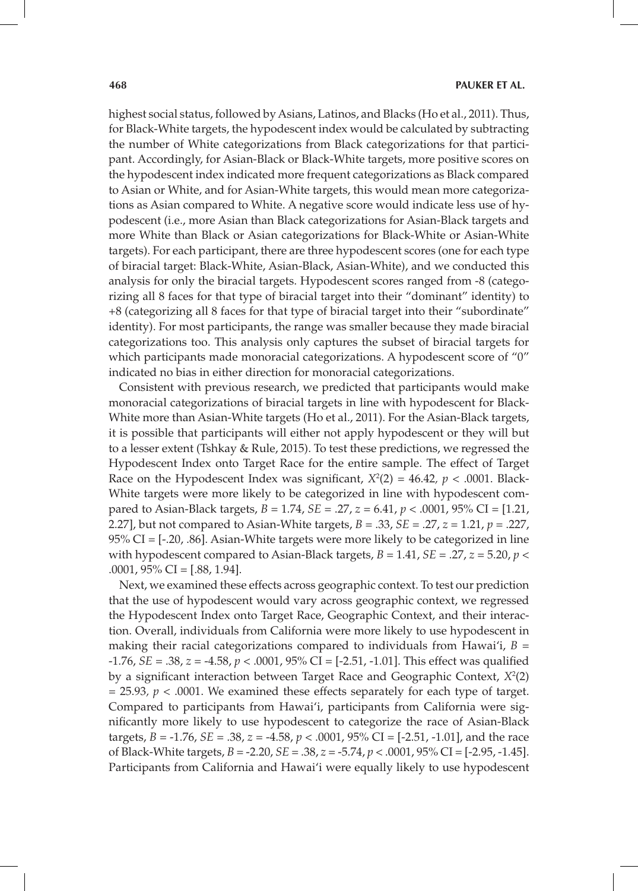highest social status, followed by Asians, Latinos, and Blacks (Ho et al., 2011). Thus, for Black-White targets, the hypodescent index would be calculated by subtracting the number of White categorizations from Black categorizations for that participant. Accordingly, for Asian-Black or Black-White targets, more positive scores on the hypodescent index indicated more frequent categorizations as Black compared to Asian or White, and for Asian-White targets, this would mean more categorizations as Asian compared to White. A negative score would indicate less use of hypodescent (i.e., more Asian than Black categorizations for Asian-Black targets and more White than Black or Asian categorizations for Black-White or Asian-White targets). For each participant, there are three hypodescent scores (one for each type of biracial target: Black-White, Asian-Black, Asian-White), and we conducted this analysis for only the biracial targets. Hypodescent scores ranged from -8 (categorizing all 8 faces for that type of biracial target into their "dominant" identity) to +8 (categorizing all 8 faces for that type of biracial target into their "subordinate" identity). For most participants, the range was smaller because they made biracial categorizations too. This analysis only captures the subset of biracial targets for which participants made monoracial categorizations. A hypodescent score of "0" indicated no bias in either direction for monoracial categorizations.

Consistent with previous research, we predicted that participants would make monoracial categorizations of biracial targets in line with hypodescent for Black-White more than Asian-White targets (Ho et al., 2011). For the Asian-Black targets, it is possible that participants will either not apply hypodescent or they will but to a lesser extent (Tshkay & Rule, 2015). To test these predictions, we regressed the Hypodescent Index onto Target Race for the entire sample. The effect of Target Race on the Hypodescent Index was significant,  $X^2(2) = 46.42$ ,  $p < .0001$ . Black-White targets were more likely to be categorized in line with hypodescent compared to Asian-Black targets, *B* = 1.74, *SE* = .27, *z* = 6.41, *p* < .0001, 95% CI = [1.21, 2.27], but not compared to Asian-White targets, *B* = .33, *SE* = .27, *z* = 1.21, *p* = .227, 95% CI = [-.20, .86]. Asian-White targets were more likely to be categorized in line with hypodescent compared to Asian-Black targets,  $B = 1.41$ ,  $SE = .27$ ,  $z = 5.20$ ,  $p <$  $.0001,95\%$  CI = [.88, 1.94].

Next, we examined these effects across geographic context. To test our prediction that the use of hypodescent would vary across geographic context, we regressed the Hypodescent Index onto Target Race, Geographic Context, and their interaction. Overall, individuals from California were more likely to use hypodescent in making their racial categorizations compared to individuals from Hawai'i, *B* = -1.76, *SE* = .38, *z* = -4.58, *p* < .0001, 95% CI = [-2.51, -1.01]. This effect was qualified by a significant interaction between Target Race and Geographic Context,  $X^2(2)$  $= 25.93$ ,  $p < .0001$ . We examined these effects separately for each type of target. Compared to participants from Hawai'i, participants from California were significantly more likely to use hypodescent to categorize the race of Asian-Black targets, *B* = -1.76, *SE* = .38, *z* = -4.58, *p* < .0001, 95% CI = [-2.51, -1.01], and the race of Black-White targets, *B* = -2.20, *SE* = .38, *z* = -5.74, *p* < .0001, 95% CI = [-2.95, -1.45]. Participants from California and Hawai'i were equally likely to use hypodescent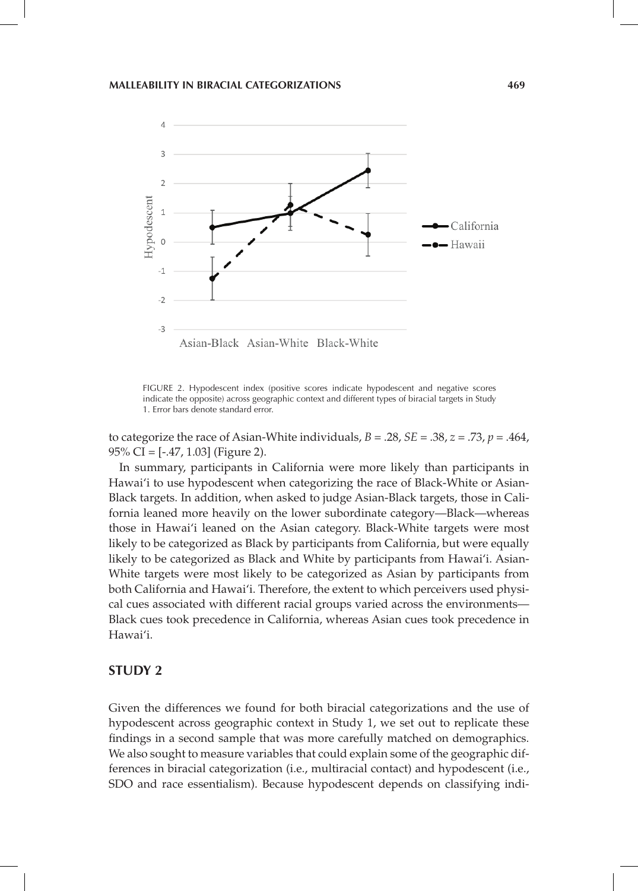

FIGURE 2. Hypodescent index (positive scores indicate hypodescent and negative scores indicate the opposite) across geographic context and different types of biracial targets in Study 1. Error bars denote standard error.

to categorize the race of Asian-White individuals,  $B = .28$ ,  $SE = .38$ ,  $z = .73$ ,  $p = .464$ , 95% CI = [-.47, 1.03] (Figure 2).

In summary, participants in California were more likely than participants in Hawai'i to use hypodescent when categorizing the race of Black-White or Asian-Black targets. In addition, when asked to judge Asian-Black targets, those in California leaned more heavily on the lower subordinate category—Black—whereas those in Hawai'i leaned on the Asian category. Black-White targets were most likely to be categorized as Black by participants from California, but were equally likely to be categorized as Black and White by participants from Hawai'i. Asian-White targets were most likely to be categorized as Asian by participants from both California and Hawai'i. Therefore, the extent to which perceivers used physical cues associated with different racial groups varied across the environments— Black cues took precedence in California, whereas Asian cues took precedence in Hawai'i.

## **STUDY 2**

Given the differences we found for both biracial categorizations and the use of hypodescent across geographic context in Study 1, we set out to replicate these findings in a second sample that was more carefully matched on demographics. We also sought to measure variables that could explain some of the geographic differences in biracial categorization (i.e., multiracial contact) and hypodescent (i.e., SDO and race essentialism). Because hypodescent depends on classifying indi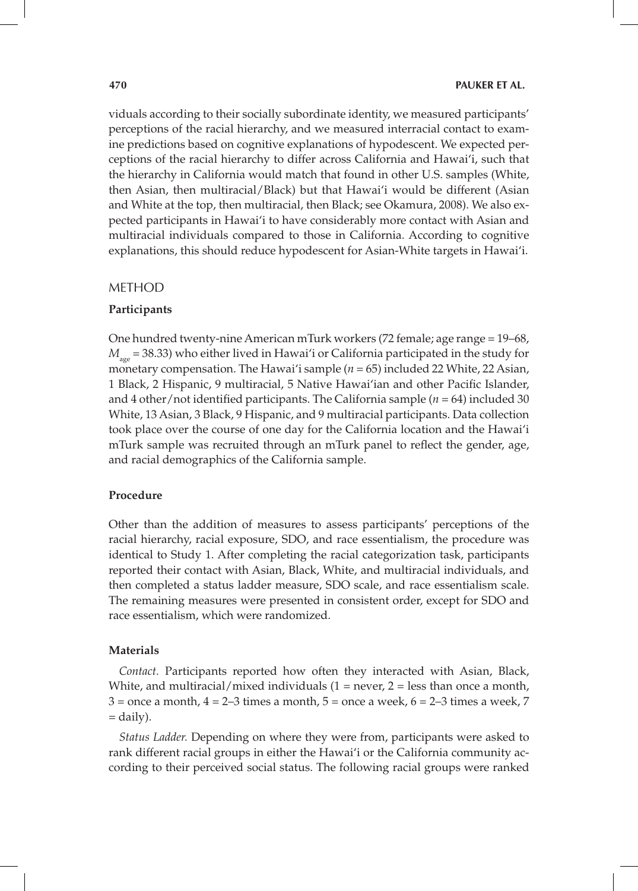viduals according to their socially subordinate identity, we measured participants' perceptions of the racial hierarchy, and we measured interracial contact to examine predictions based on cognitive explanations of hypodescent. We expected perceptions of the racial hierarchy to differ across California and Hawai'i, such that the hierarchy in California would match that found in other U.S. samples (White, then Asian, then multiracial/Black) but that Hawai'i would be different (Asian and White at the top, then multiracial, then Black; see Okamura, 2008). We also expected participants in Hawai'i to have considerably more contact with Asian and multiracial individuals compared to those in California. According to cognitive explanations, this should reduce hypodescent for Asian-White targets in Hawai'i.

#### METHOD

#### **Participants**

One hundred twenty-nine American mTurk workers (72 female; age range = 19–68,  $M_{\text{age}}$  = 38.33) who either lived in Hawai'i or California participated in the study for monetary compensation. The Hawai'i sample (*n* = 65) included 22 White, 22 Asian, 1 Black, 2 Hispanic, 9 multiracial, 5 Native Hawai'ian and other Pacific Islander, and 4 other/not identified participants. The California sample (*n* = 64) included 30 White, 13 Asian, 3 Black, 9 Hispanic, and 9 multiracial participants. Data collection took place over the course of one day for the California location and the Hawai'i mTurk sample was recruited through an mTurk panel to reflect the gender, age, and racial demographics of the California sample.

#### **Procedure**

Other than the addition of measures to assess participants' perceptions of the racial hierarchy, racial exposure, SDO, and race essentialism, the procedure was identical to Study 1. After completing the racial categorization task, participants reported their contact with Asian, Black, White, and multiracial individuals, and then completed a status ladder measure, SDO scale, and race essentialism scale. The remaining measures were presented in consistent order, except for SDO and race essentialism, which were randomized.

#### **Materials**

*Contact.* Participants reported how often they interacted with Asian, Black, White, and multiracial/mixed individuals  $(1 = never, 2 = less than once a month,$  $3 =$  once a month,  $4 = 2-3$  times a month,  $5 =$  once a week,  $6 = 2-3$  times a week,  $7$ = daily).

*Status Ladder.* Depending on where they were from, participants were asked to rank different racial groups in either the Hawai'i or the California community according to their perceived social status. The following racial groups were ranked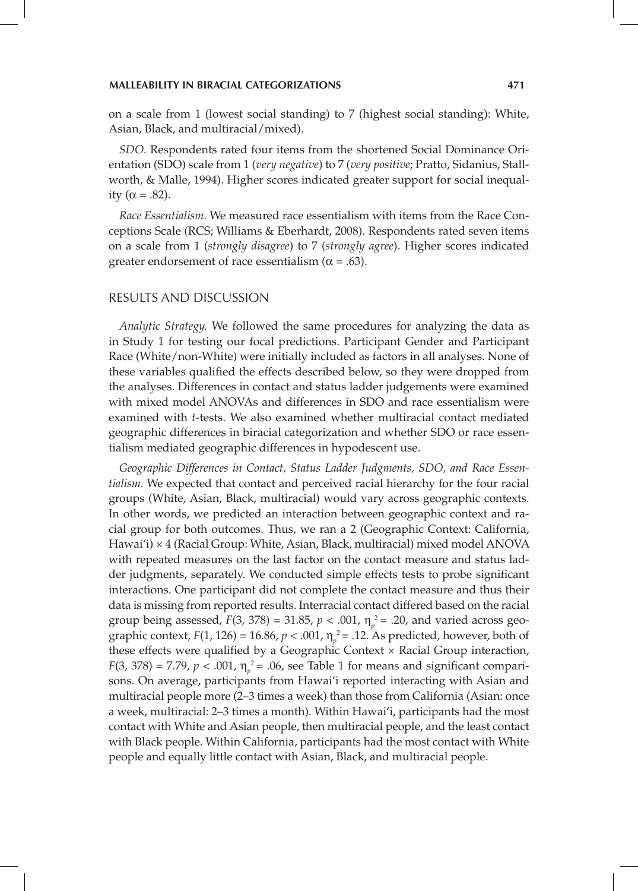on a scale from 1 (lowest social standing) to 7 (highest social standing): White, Asian, Black, and multiracial/mixed).

*SDO.* Respondents rated four items from the shortened Social Dominance Orientation (SDO) scale from 1 (*very negative*) to 7 (*very positive*; Pratto, Sidanius, Stallworth, & Malle, 1994). Higher scores indicated greater support for social inequality ( $\alpha = .82$ ).

*Race Essentialism.* We measured race essentialism with items from the Race Conceptions Scale (RCS; Williams & Eberhardt, 2008). Respondents rated seven items on a scale from 1 (*strongly disagree*) to 7 (*strongly agree*). Higher scores indicated greater endorsement of race essentialism ( $\alpha = .63$ ).

#### RESULTS AND DISCUSSION

*Analytic Strategy.* We followed the same procedures for analyzing the data as in Study 1 for testing our focal predictions. Participant Gender and Participant Race (White/non-White) were initially included as factors in all analyses. None of these variables qualified the effects described below, so they were dropped from the analyses. Differences in contact and status ladder judgements were examined with mixed model ANOVAs and differences in SDO and race essentialism were examined with *t*-tests. We also examined whether multiracial contact mediated geographic differences in biracial categorization and whether SDO or race essentialism mediated geographic differences in hypodescent use.

*Geographic Differences in Contact, Status Ladder Judgments, SDO, and Race Essentialism.* We expected that contact and perceived racial hierarchy for the four racial groups (White, Asian, Black, multiracial) would vary across geographic contexts. In other words, we predicted an interaction between geographic context and racial group for both outcomes. Thus, we ran a 2 (Geographic Context: California, Hawai'i) × 4 (Racial Group: White, Asian, Black, multiracial) mixed model ANOVA with repeated measures on the last factor on the contact measure and status ladder judgments, separately. We conducted simple effects tests to probe significant interactions. One participant did not complete the contact measure and thus their data is missing from reported results. Interracial contact differed based on the racial group being assessed,  $F(3, 378) = 31.85$ ,  $p < .001$ ,  $\eta_p^2 = .20$ , and varied across geographic context,  $F(1, 126) = 16.86$ ,  $p < .001$ ,  $\eta_p^2 = .12$ . As predicted, however, both of these effects were qualified by a Geographic Context × Racial Group interaction, *F*(3, 378) = 7.79,  $p < .001$ ,  $\eta_p^2 = .06$ , see Table 1 for means and significant comparisons. On average, participants from Hawai'i reported interacting with Asian and multiracial people more (2–3 times a week) than those from California (Asian: once a week, multiracial: 2–3 times a month). Within Hawai'i, participants had the most contact with White and Asian people, then multiracial people, and the least contact with Black people. Within California, participants had the most contact with White people and equally little contact with Asian, Black, and multiracial people.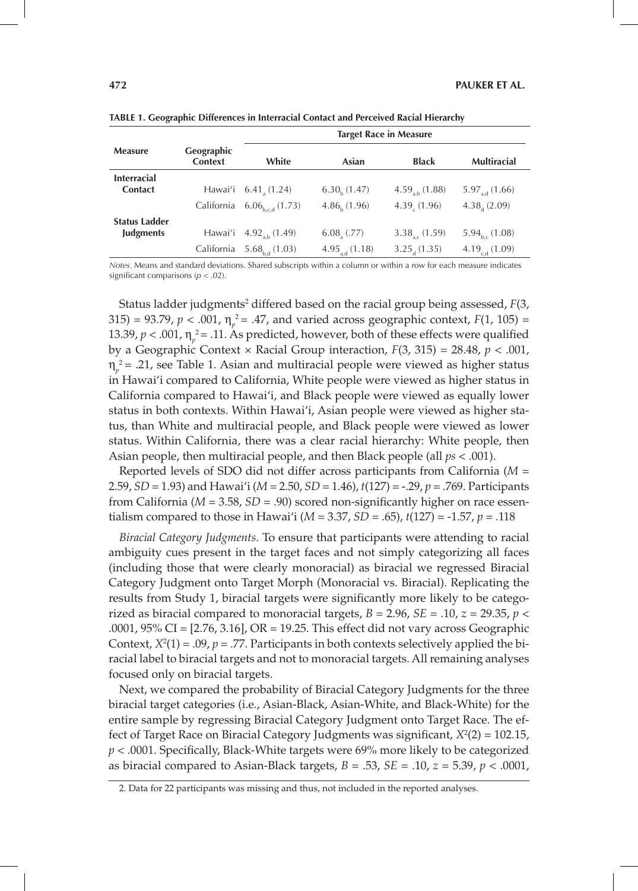|                      |                       | <b>Target Race in Measure</b>         |                             |                           |                      |
|----------------------|-----------------------|---------------------------------------|-----------------------------|---------------------------|----------------------|
| <b>Measure</b>       | Geographic<br>Context | White                                 | Asian                       | <b>Black</b>              | <b>Multiracial</b>   |
| <b>Interracial</b>   |                       |                                       |                             |                           |                      |
| <b>Contact</b>       |                       | Hawai'i 6.41 (1.24)                   | $6.30h$ (1.47)              | $4.59_{ab}$ (1.88)        | $5.97_{ad}$ (1.66)   |
|                      |                       | California $6.06_{\text{bcd}}$ (1.73) | 4.86(1.96)                  | 4.39(1.96)                | 4.38(2.09)           |
| <b>Status Ladder</b> |                       |                                       |                             |                           |                      |
| <b>Judgments</b>     |                       | Hawai'i $4.92_{ab}$ (1.49)            | $6.08$ <sub>,</sub> $(.77)$ | $3.38_{\text{ac}} (1.59)$ | $5.94_{h_c}$ (1.08)  |
|                      | California            | $5.68_{\text{hd}}(1.03)$              | $4.95_{ad}$ (1.18)          | $3.25_{d}$ (1.35)         | 4.19 $_{c,d}$ (1.09) |

**TABLE 1. Geographic Differences in Interracial Contact and Perceived Racial Hierarchy**

*Notes.* Means and standard deviations. Shared subscripts within a column or within a row for each measure indicates significant comparisons (*p* < .02).

Status ladder judgments<sup>2</sup> differed based on the racial group being assessed,  $F(3, 1)$ 315) = 93.79,  $p < .001$ ,  $\eta_p^2 = .47$ , and varied across geographic context,  $F(1, 105) =$ 13.39,  $p < .001$ ,  $\eta_p^2 = .11$ . As predicted, however, both of these effects were qualified by a Geographic Context × Racial Group interaction, *F*(3, 315) = 28.48, *p* < .001,  $η<sub>p</sub><sup>2</sup> = .21$ , see Table 1. Asian and multiracial people were viewed as higher status in Hawai'i compared to California, White people were viewed as higher status in California compared to Hawai'i, and Black people were viewed as equally lower status in both contexts. Within Hawai'i, Asian people were viewed as higher status, than White and multiracial people, and Black people were viewed as lower status. Within California, there was a clear racial hierarchy: White people, then Asian people, then multiracial people, and then Black people (all *ps* < .001).

Reported levels of SDO did not differ across participants from California (*M* = 2.59, *SD* = 1.93) and Hawai'i (*M* = 2.50, *SD* = 1.46), *t*(127) = -.29, *p* = .769. Participants from California (*M* = 3.58, *SD* = .90) scored non-significantly higher on race essentialism compared to those in Hawai'i (*M* = 3.37, *SD* = .65), *t*(127) = -1.57, *p* = .118

*Biracial Category Judgments.* To ensure that participants were attending to racial ambiguity cues present in the target faces and not simply categorizing all faces (including those that were clearly monoracial) as biracial we regressed Biracial Category Judgment onto Target Morph (Monoracial vs. Biracial). Replicating the results from Study 1, biracial targets were significantly more likely to be categorized as biracial compared to monoracial targets,  $B = 2.96$ ,  $SE = .10$ ,  $z = 29.35$ ,  $p <$ .0001, 95% CI = [2.76, 3.16], OR = 19.25. This effect did not vary across Geographic Context,  $X^2(1) = .09$ ,  $p = .77$ . Participants in both contexts selectively applied the biracial label to biracial targets and not to monoracial targets. All remaining analyses focused only on biracial targets.

Next, we compared the probability of Biracial Category Judgments for the three biracial target categories (i.e., Asian-Black, Asian-White, and Black-White) for the entire sample by regressing Biracial Category Judgment onto Target Race. The effect of Target Race on Biracial Category Judgments was significant, *X*<sup>2</sup> (2) = 102.15, *p* < .0001. Specifically, Black-White targets were 69% more likely to be categorized as biracial compared to Asian-Black targets, *B* = .53, *SE* = .10, *z* = 5.39, *p* < .0001,

<sup>2.</sup> Data for 22 participants was missing and thus, not included in the reported analyses.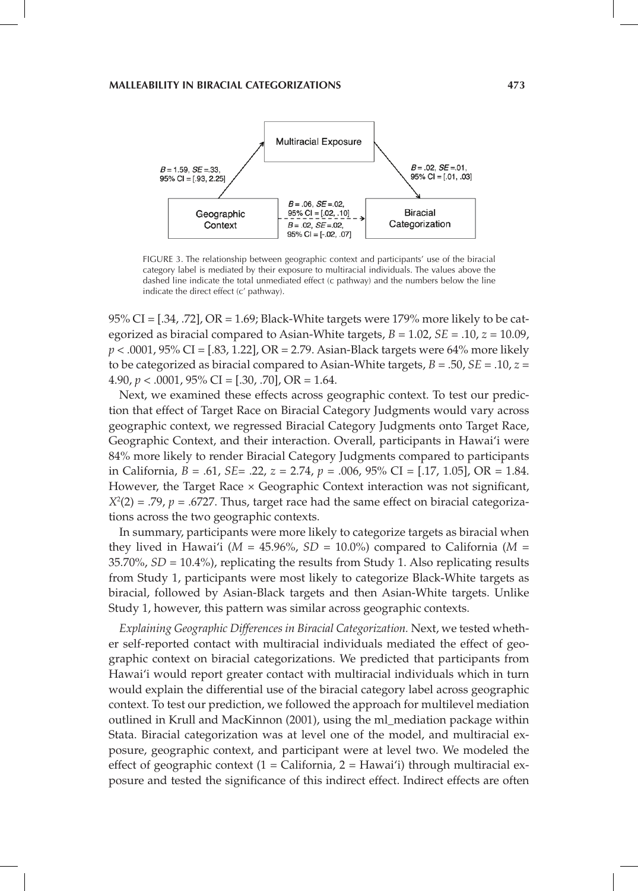

FIGURE 3. The relationship between geographic context and participants' use of the biracial category label is mediated by their exposure to multiracial individuals. The values above the dashed line indicate the total unmediated effect (c pathway) and the numbers below the line indicate the direct effect (c' pathway).

95% CI = [.34, .72], OR = 1.69; Black-White targets were 179% more likely to be categorized as biracial compared to Asian-White targets, *B* = 1.02, *SE* = .10, *z* = 10.09, *p* < .0001, 95% CI = [.83, 1.22], OR = 2.79. Asian-Black targets were 64% more likely to be categorized as biracial compared to Asian-White targets, *B* = .50, *SE* = .10, *z* = 4.90,  $p < .0001$ , 95% CI = [.30, .70], OR = 1.64.

Next, we examined these effects across geographic context. To test our prediction that effect of Target Race on Biracial Category Judgments would vary across geographic context, we regressed Biracial Category Judgments onto Target Race, Geographic Context, and their interaction. Overall, participants in Hawai'i were 84% more likely to render Biracial Category Judgments compared to participants in California, *B* = .61, *SE*= .22, *z* = 2.74, *p* = .006, 95% CI = [.17, 1.05], OR = 1.84. However, the Target Race  $\times$  Geographic Context interaction was not significant,  $X^2(2) = 0.79$ ,  $p = 0.6727$ . Thus, target race had the same effect on biracial categorizations across the two geographic contexts.

In summary, participants were more likely to categorize targets as biracial when they lived in Hawai'i ( $M = 45.96\%$ ,  $SD = 10.0\%$ ) compared to California ( $M =$ 35.70%, *SD* = 10.4%), replicating the results from Study 1. Also replicating results from Study 1, participants were most likely to categorize Black-White targets as biracial, followed by Asian-Black targets and then Asian-White targets. Unlike Study 1, however, this pattern was similar across geographic contexts.

*Explaining Geographic Differences in Biracial Categorization.* Next, we tested whether self-reported contact with multiracial individuals mediated the effect of geographic context on biracial categorizations. We predicted that participants from Hawai'i would report greater contact with multiracial individuals which in turn would explain the differential use of the biracial category label across geographic context. To test our prediction, we followed the approach for multilevel mediation outlined in Krull and MacKinnon (2001), using the ml\_mediation package within Stata. Biracial categorization was at level one of the model, and multiracial exposure, geographic context, and participant were at level two. We modeled the effect of geographic context  $(1 - \text{California}, 2 - \text{Hawai'i})$  through multiracial exposure and tested the significance of this indirect effect. Indirect effects are often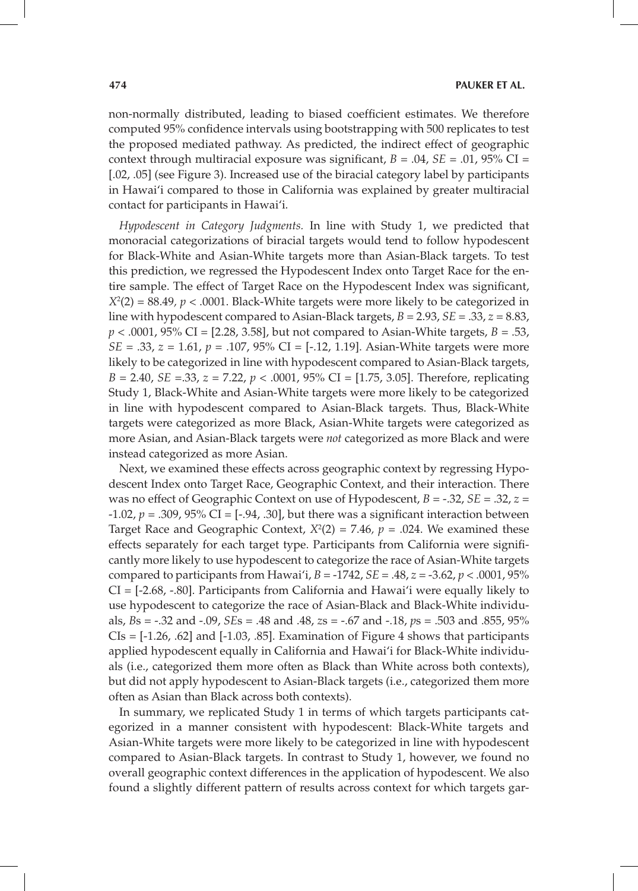non-normally distributed, leading to biased coefficient estimates. We therefore computed 95% confidence intervals using bootstrapping with 500 replicates to test the proposed mediated pathway. As predicted, the indirect effect of geographic context through multiracial exposure was significant,  $B = .04$ ,  $SE = .01$ ,  $95\%$  CI = [.02, .05] (see Figure 3). Increased use of the biracial category label by participants in Hawai'i compared to those in California was explained by greater multiracial contact for participants in Hawai'i.

*Hypodescent in Category Judgments.* In line with Study 1, we predicted that monoracial categorizations of biracial targets would tend to follow hypodescent for Black-White and Asian-White targets more than Asian-Black targets. To test this prediction, we regressed the Hypodescent Index onto Target Race for the entire sample. The effect of Target Race on the Hypodescent Index was significant,  $X^2(2) = 88.49$ ,  $p < .0001$ . Black-White targets were more likely to be categorized in line with hypodescent compared to Asian-Black targets, *B* = 2.93, *SE* = .33, *z* = 8.83, *p* < .0001, 95% CI = [2.28, 3.58], but not compared to Asian-White targets, *B* = .53, *SE* = .33, *z* = 1.61, *p* = .107, 95% CI = [-.12, 1.19]. Asian-White targets were more likely to be categorized in line with hypodescent compared to Asian-Black targets, *B* = 2.40, *SE* =.33, *z* = 7.22, *p* < .0001, 95% CI = [1.75, 3.05]. Therefore, replicating Study 1, Black-White and Asian-White targets were more likely to be categorized in line with hypodescent compared to Asian-Black targets. Thus, Black-White targets were categorized as more Black, Asian-White targets were categorized as more Asian, and Asian-Black targets were *not* categorized as more Black and were instead categorized as more Asian.

Next, we examined these effects across geographic context by regressing Hypodescent Index onto Target Race, Geographic Context, and their interaction. There was no effect of Geographic Context on use of Hypodescent, *B* = -.32, *SE* = .32, *z* = -1.02,  $p = .309$ ,  $95\%$  CI =  $[-.94, .30]$ , but there was a significant interaction between Target Race and Geographic Context,  $X^2(2) = 7.46$ ,  $p = .024$ . We examined these effects separately for each target type. Participants from California were significantly more likely to use hypodescent to categorize the race of Asian-White targets compared to participants from Hawai'i, *B* = -1742, *SE* = .48, *z* = -3.62, *p* < .0001, 95% CI = [-2.68, -.80]. Participants from California and Hawai'i were equally likely to use hypodescent to categorize the race of Asian-Black and Black-White individuals, *B*s = -.32 and -.09, *SE*s = .48 and .48, *z*s = -.67 and -.18, *p*s = .503 and .855, 95%  $CIs = [-1.26, .62]$  and  $[-1.03, .85]$ . Examination of Figure 4 shows that participants applied hypodescent equally in California and Hawai'i for Black-White individuals (i.e., categorized them more often as Black than White across both contexts), but did not apply hypodescent to Asian-Black targets (i.e., categorized them more often as Asian than Black across both contexts).

In summary, we replicated Study 1 in terms of which targets participants categorized in a manner consistent with hypodescent: Black-White targets and Asian-White targets were more likely to be categorized in line with hypodescent compared to Asian-Black targets. In contrast to Study 1, however, we found no overall geographic context differences in the application of hypodescent. We also found a slightly different pattern of results across context for which targets gar-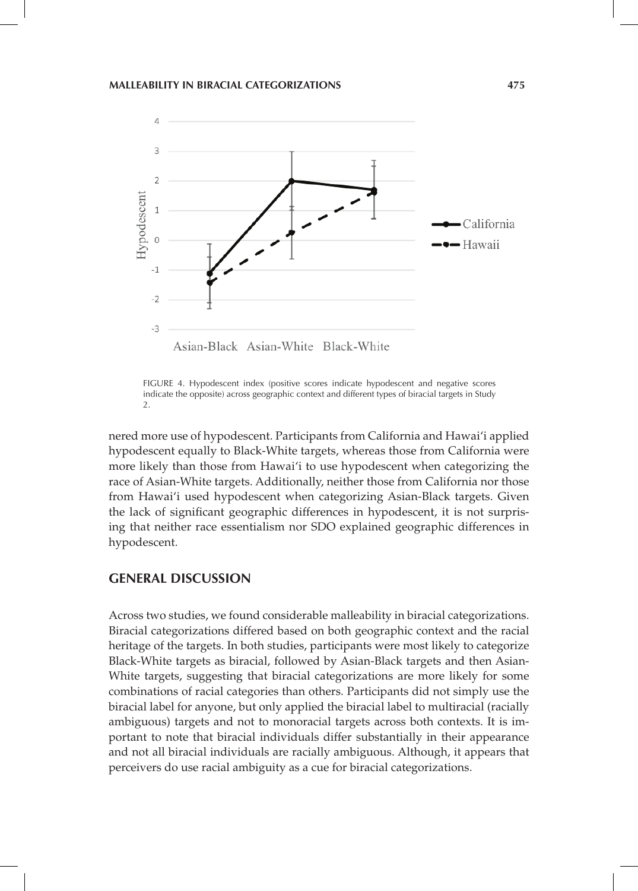

FIGURE 4. Hypodescent index (positive scores indicate hypodescent and negative scores indicate the opposite) across geographic context and different types of biracial targets in Study  $\mathcal{L}$ 

nered more use of hypodescent. Participants from California and Hawai'i applied hypodescent equally to Black-White targets, whereas those from California were more likely than those from Hawai'i to use hypodescent when categorizing the race of Asian-White targets. Additionally, neither those from California nor those from Hawai'i used hypodescent when categorizing Asian-Black targets. Given the lack of significant geographic differences in hypodescent, it is not surprising that neither race essentialism nor SDO explained geographic differences in hypodescent.

## **GENERAL DISCUSSION**

Across two studies, we found considerable malleability in biracial categorizations. Biracial categorizations differed based on both geographic context and the racial heritage of the targets. In both studies, participants were most likely to categorize Black-White targets as biracial, followed by Asian-Black targets and then Asian-White targets, suggesting that biracial categorizations are more likely for some combinations of racial categories than others. Participants did not simply use the biracial label for anyone, but only applied the biracial label to multiracial (racially ambiguous) targets and not to monoracial targets across both contexts. It is important to note that biracial individuals differ substantially in their appearance and not all biracial individuals are racially ambiguous. Although, it appears that perceivers do use racial ambiguity as a cue for biracial categorizations.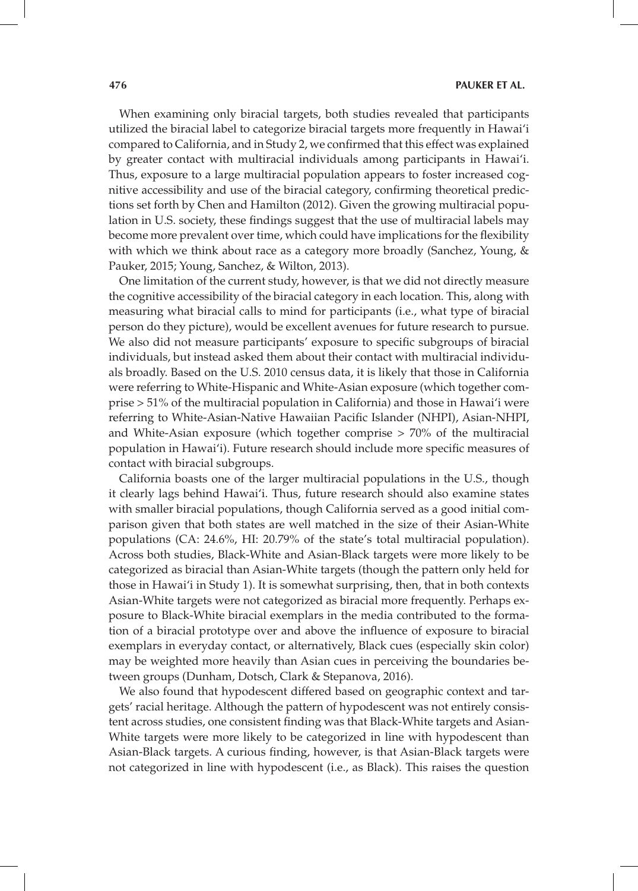When examining only biracial targets, both studies revealed that participants utilized the biracial label to categorize biracial targets more frequently in Hawai'i compared to California, and in Study 2, we confirmed that this effect was explained by greater contact with multiracial individuals among participants in Hawai'i. Thus, exposure to a large multiracial population appears to foster increased cognitive accessibility and use of the biracial category, confirming theoretical predictions set forth by Chen and Hamilton (2012). Given the growing multiracial population in U.S. society, these findings suggest that the use of multiracial labels may become more prevalent over time, which could have implications for the flexibility with which we think about race as a category more broadly (Sanchez, Young, & Pauker, 2015; Young, Sanchez, & Wilton, 2013).

One limitation of the current study, however, is that we did not directly measure the cognitive accessibility of the biracial category in each location. This, along with measuring what biracial calls to mind for participants (i.e., what type of biracial person do they picture), would be excellent avenues for future research to pursue. We also did not measure participants' exposure to specific subgroups of biracial individuals, but instead asked them about their contact with multiracial individuals broadly. Based on the U.S. 2010 census data, it is likely that those in California were referring to White-Hispanic and White-Asian exposure (which together comprise > 51% of the multiracial population in California) and those in Hawai'i were referring to White-Asian-Native Hawaiian Pacific Islander (NHPI), Asian-NHPI, and White-Asian exposure (which together comprise > 70% of the multiracial population in Hawai'i). Future research should include more specific measures of contact with biracial subgroups.

California boasts one of the larger multiracial populations in the U.S., though it clearly lags behind Hawai'i. Thus, future research should also examine states with smaller biracial populations, though California served as a good initial comparison given that both states are well matched in the size of their Asian-White populations (CA: 24.6%, HI: 20.79% of the state's total multiracial population). Across both studies, Black-White and Asian-Black targets were more likely to be categorized as biracial than Asian-White targets (though the pattern only held for those in Hawai'i in Study 1). It is somewhat surprising, then, that in both contexts Asian-White targets were not categorized as biracial more frequently. Perhaps exposure to Black-White biracial exemplars in the media contributed to the formation of a biracial prototype over and above the influence of exposure to biracial exemplars in everyday contact, or alternatively, Black cues (especially skin color) may be weighted more heavily than Asian cues in perceiving the boundaries between groups (Dunham, Dotsch, Clark & Stepanova, 2016).

We also found that hypodescent differed based on geographic context and targets' racial heritage. Although the pattern of hypodescent was not entirely consistent across studies, one consistent finding was that Black-White targets and Asian-White targets were more likely to be categorized in line with hypodescent than Asian-Black targets. A curious finding, however, is that Asian-Black targets were not categorized in line with hypodescent (i.e., as Black). This raises the question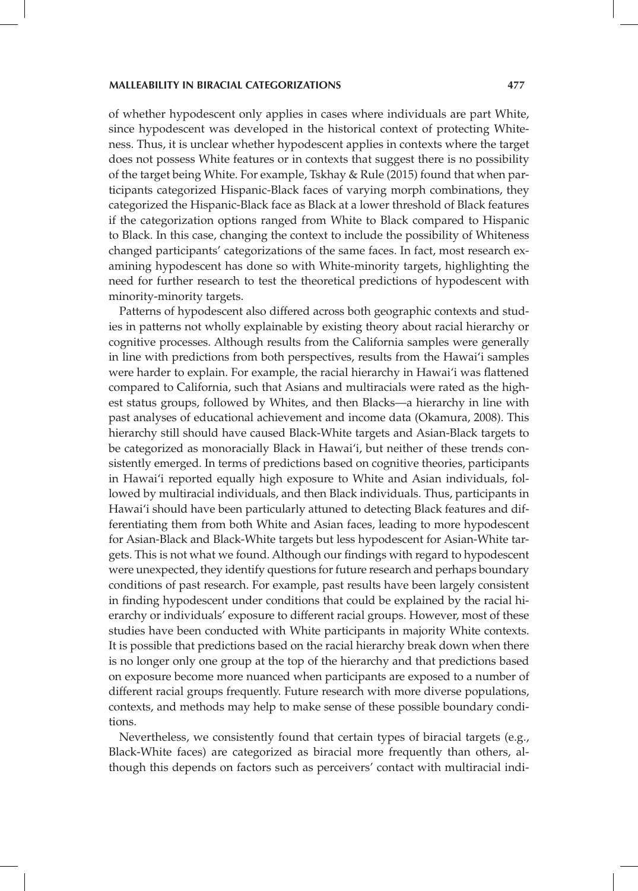of whether hypodescent only applies in cases where individuals are part White, since hypodescent was developed in the historical context of protecting Whiteness. Thus, it is unclear whether hypodescent applies in contexts where the target does not possess White features or in contexts that suggest there is no possibility of the target being White. For example, Tskhay & Rule (2015) found that when participants categorized Hispanic-Black faces of varying morph combinations, they categorized the Hispanic-Black face as Black at a lower threshold of Black features if the categorization options ranged from White to Black compared to Hispanic to Black. In this case, changing the context to include the possibility of Whiteness changed participants' categorizations of the same faces. In fact, most research examining hypodescent has done so with White-minority targets, highlighting the need for further research to test the theoretical predictions of hypodescent with minority-minority targets.

Patterns of hypodescent also differed across both geographic contexts and studies in patterns not wholly explainable by existing theory about racial hierarchy or cognitive processes. Although results from the California samples were generally in line with predictions from both perspectives, results from the Hawai'i samples were harder to explain. For example, the racial hierarchy in Hawai'i was flattened compared to California, such that Asians and multiracials were rated as the highest status groups, followed by Whites, and then Blacks—a hierarchy in line with past analyses of educational achievement and income data (Okamura, 2008). This hierarchy still should have caused Black-White targets and Asian-Black targets to be categorized as monoracially Black in Hawai'i, but neither of these trends consistently emerged. In terms of predictions based on cognitive theories, participants in Hawai'i reported equally high exposure to White and Asian individuals, followed by multiracial individuals, and then Black individuals. Thus, participants in Hawai'i should have been particularly attuned to detecting Black features and differentiating them from both White and Asian faces, leading to more hypodescent for Asian-Black and Black-White targets but less hypodescent for Asian-White targets. This is not what we found. Although our findings with regard to hypodescent were unexpected, they identify questions for future research and perhaps boundary conditions of past research. For example, past results have been largely consistent in finding hypodescent under conditions that could be explained by the racial hierarchy or individuals' exposure to different racial groups. However, most of these studies have been conducted with White participants in majority White contexts. It is possible that predictions based on the racial hierarchy break down when there is no longer only one group at the top of the hierarchy and that predictions based on exposure become more nuanced when participants are exposed to a number of different racial groups frequently. Future research with more diverse populations, contexts, and methods may help to make sense of these possible boundary conditions.

Nevertheless, we consistently found that certain types of biracial targets (e.g., Black-White faces) are categorized as biracial more frequently than others, although this depends on factors such as perceivers' contact with multiracial indi-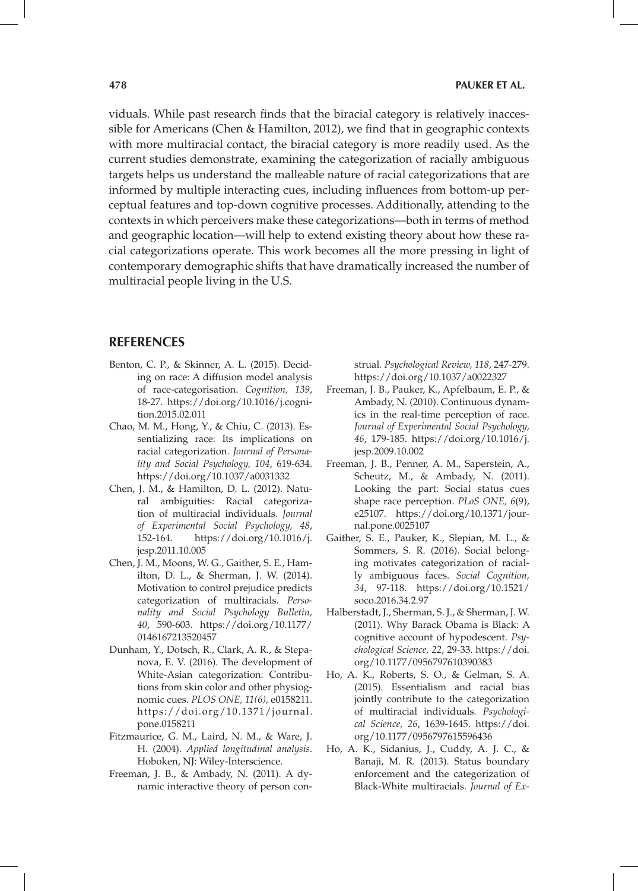viduals. While past research finds that the biracial category is relatively inaccessible for Americans (Chen & Hamilton, 2012), we find that in geographic contexts with more multiracial contact, the biracial category is more readily used. As the current studies demonstrate, examining the categorization of racially ambiguous targets helps us understand the malleable nature of racial categorizations that are informed by multiple interacting cues, including influences from bottom-up perceptual features and top-down cognitive processes. Additionally, attending to the contexts in which perceivers make these categorizations—both in terms of method and geographic location—will help to extend existing theory about how these racial categorizations operate. This work becomes all the more pressing in light of contemporary demographic shifts that have dramatically increased the number of multiracial people living in the U.S.

## **REFERENCES**

- Benton, C. P., & Skinner, A. L. (2015). Deciding on race: A diffusion model analysis of race-categorisation. *Cognition, 139*, 18-27. https://doi.org/10.1016/j.cognition.2015.02.011
- Chao, M. M., Hong, Y., & Chiu, C. (2013). Essentializing race: Its implications on racial categorization. *Journal of Personality and Social Psychology, 104*, 619-634. https://doi.org/10.1037/a0031332
- Chen, J. M., & Hamilton, D. L. (2012). Natural ambiguities: Racial categorization of multiracial individuals. *Journal of Experimental Social Psychology, 48*, 152-164. https://doi.org/10.1016/j. jesp.2011.10.005
- Chen, J. M., Moons, W. G., Gaither, S. E., Hamilton, D. L., & Sherman, J. W. (2014). Motivation to control prejudice predicts categorization of multiracials. *Personality and Social Psychology Bulletin, 40*, 590-603. https://doi.org/10.1177/ 0146167213520457
- Dunham, Y., Dotsch, R., Clark, A. R., & Stepanova, E. V. (2016). The development of White-Asian categorization: Contributions from skin color and other physiognomic cues. *PLOS ONE, 11(6),* e0158211. https://doi.org/10.1371/journal. pone.0158211
- Fitzmaurice, G. M., Laird, N. M., & Ware, J. H. (2004). *Applied longitudinal analysis*. Hoboken, NJ: Wiley-Interscience.
- Freeman, J. B., & Ambady, N. (2011). A dynamic interactive theory of person con-

strual. *Psychological Review, 118*, 247-279. https://doi.org/10.1037/a0022327

- Freeman, J. B., Pauker, K., Apfelbaum, E. P., & Ambady, N. (2010). Continuous dynamics in the real-time perception of race. *Journal of Experimental Social Psychology, 46*, 179-185. https://doi.org/10.1016/j. jesp.2009.10.002
- Freeman, J. B., Penner, A. M., Saperstein, A., Scheutz, M., & Ambady, N. (2011). Looking the part: Social status cues shape race perception. *PLoS ONE, 6*(9), e25107. https://doi.org/10.1371/journal.pone.0025107
- Gaither, S. E., Pauker, K., Slepian, M. L., & Sommers, S. R. (2016). Social belonging motivates categorization of racially ambiguous faces. *Social Cognition, 34*, 97-118. https://doi.org/10.1521/ soco.2016.34.2.97
- Halberstadt, J., Sherman, S. J., & Sherman, J. W. (2011). Why Barack Obama is Black: A cognitive account of hypodescent. *Psychological Science, 22*, 29-33. https://doi. org/10.1177/0956797610390383
- Ho, A. K., Roberts, S. O., & Gelman, S. A. (2015). Essentialism and racial bias jointly contribute to the categorization of multiracial individuals. *Psychological Science, 26*, 1639-1645. https://doi. org/10.1177/0956797615596436
- Ho, A. K., Sidanius, J., Cuddy, A. J. C., & Banaji, M. R. (2013). Status boundary enforcement and the categorization of Black-White multiracials. *Journal of Ex-*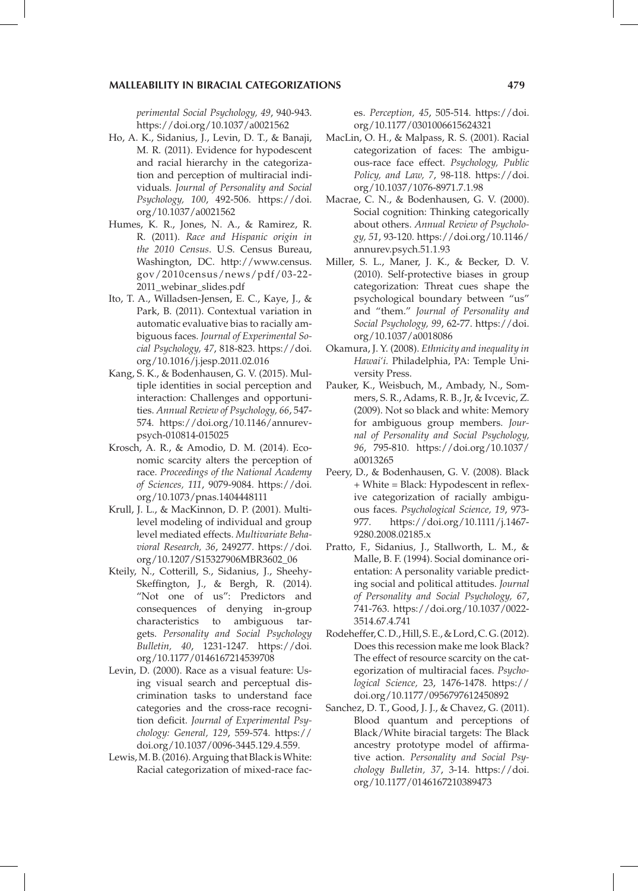*perimental Social Psychology, 49*, 940-943. https://doi.org/10.1037/a0021562

- Ho, A. K., Sidanius, J., Levin, D. T., & Banaji, M. R. (2011). Evidence for hypodescent and racial hierarchy in the categorization and perception of multiracial individuals. *Journal of Personality and Social Psychology, 100*, 492-506. https://doi. org/10.1037/a0021562
- Humes, K. R., Jones, N. A., & Ramirez, R. R. (2011). *Race and Hispanic origin in the 2010 Census*. U.S. Census Bureau, Washington, DC. http://www.census. gov/2010census/news/pdf/03-22- 2011\_webinar\_slides.pdf
- Ito, T. A., Willadsen-Jensen, E. C., Kaye, J., & Park, B. (2011). Contextual variation in automatic evaluative bias to racially ambiguous faces. *Journal of Experimental Social Psychology, 47*, 818-823. https://doi. org/10.1016/j.jesp.2011.02.016
- Kang, S. K., & Bodenhausen, G. V. (2015). Multiple identities in social perception and interaction: Challenges and opportunities. *Annual Review of Psychology, 66*, 547- 574. https://doi.org/10.1146/annurevpsych-010814-015025
- Krosch, A. R., & Amodio, D. M. (2014). Economic scarcity alters the perception of race. *Proceedings of the National Academy of Sciences, 111*, 9079-9084. https://doi. org/10.1073/pnas.1404448111
- Krull, J. L., & MacKinnon, D. P. (2001). Multilevel modeling of individual and group level mediated effects. *Multivariate Behavioral Research, 36*, 249277. https://doi. org/10.1207/S15327906MBR3602\_06
- Kteily, N., Cotterill, S., Sidanius, J., Sheehy-Skeffington, J., & Bergh, R. (2014). "Not one of us": Predictors and consequences of denying in-group characteristics to ambiguous targets. *Personality and Social Psychology Bulletin, 40*, 1231-1247. https://doi. org/10.1177/0146167214539708
- Levin, D. (2000). Race as a visual feature: Using visual search and perceptual discrimination tasks to understand face categories and the cross-race recognition deficit. *Journal of Experimental Psychology: General, 129*, 559-574. https:// doi.org/10.1037/0096-3445.129.4.559.
- Lewis, M. B. (2016). Arguing that Black is White: Racial categorization of mixed-race fac-

es. *Perception, 45*, 505-514. https://doi. org/10.1177/0301006615624321

- MacLin, O. H., & Malpass, R. S. (2001). Racial categorization of faces: The ambiguous-race face effect. *Psychology, Public Policy, and Law, 7*, 98-118. https://doi. org/10.1037/1076-8971.7.1.98
- Macrae, C. N., & Bodenhausen, G. V. (2000). Social cognition: Thinking categorically about others. *Annual Review of Psychology, 51*, 93-120. https://doi.org/10.1146/ annurev.psych.51.1.93
- Miller, S. L., Maner, J. K., & Becker, D. V. (2010). Self-protective biases in group categorization: Threat cues shape the psychological boundary between "us" and "them." *Journal of Personality and Social Psychology, 99*, 62-77. https://doi. org/10.1037/a0018086
- Okamura, J. Y. (2008). *Ethnicity and inequality in Hawai'i.* Philadelphia, PA: Temple University Press.
- Pauker, K., Weisbuch, M., Ambady, N., Sommers, S. R., Adams, R. B., Jr, & Ivcevic, Z. (2009). Not so black and white: Memory for ambiguous group members. *Journal of Personality and Social Psychology, 96*, 795-810. https://doi.org/10.1037/ a0013265
- Peery, D., & Bodenhausen, G. V. (2008). Black + White = Black: Hypodescent in reflexive categorization of racially ambiguous faces. *Psychological Science, 19*, 973- 977. https://doi.org/10.1111/j.1467- 9280.2008.02185.x
- Pratto, F., Sidanius, J., Stallworth, L. M., & Malle, B. F. (1994). Social dominance orientation: A personality variable predicting social and political attitudes. *Journal of Personality and Social Psychology, 67*, 741-763. https://doi.org/10.1037/0022- 3514.67.4.741
- Rodeheffer, C. D., Hill, S. E., & Lord, C. G. (2012). Does this recession make me look Black? The effect of resource scarcity on the categorization of multiracial faces. *Psychological Science,* 23, 1476-1478. https:// doi.org/10.1177/0956797612450892
- Sanchez, D. T., Good, J. J., & Chavez, G. (2011). Blood quantum and perceptions of Black/White biracial targets: The Black ancestry prototype model of affirmative action. *Personality and Social Psychology Bulletin, 37*, 3-14. https://doi. org/10.1177/0146167210389473